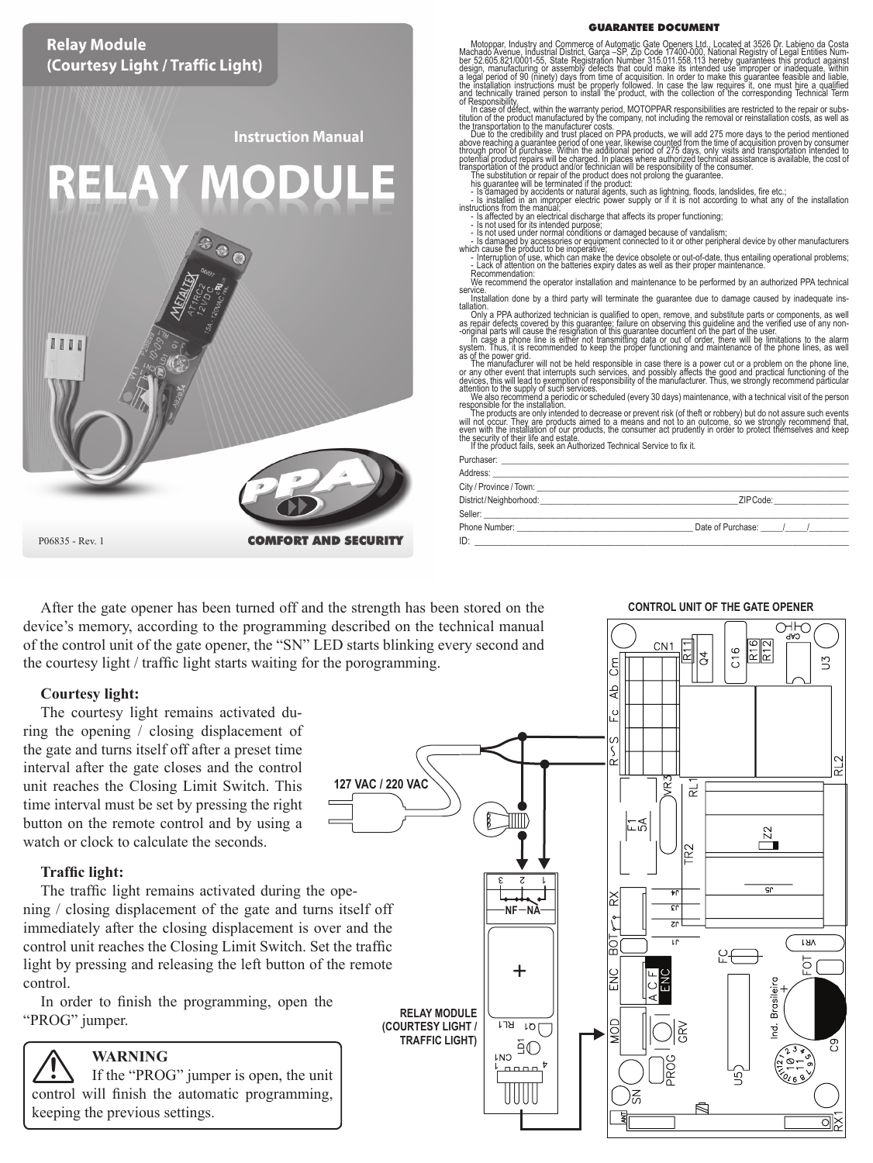# GUARANTEE DOCUMENT **Relay Module** Motopar, Industry and Commerce of Automatic Gate Openers Ltd., Located at 3526 Dr. Labieno da Costa<br>Machado Avenue, Industrial District, Garga -SP, 2p Code 17400-000, National Registry of Legal Entities Num<br>Besign - Party (Courtesy Light / Traffic Light) or tesponsibilities are restricted to the center<br>through the case of defect, within the warranty period, MOTOPPAR responsibilities are restricted to the repair or subs-<br>the transpot distinct manufacturer costs.<br>The transpo the transportation to the manufacture (costs.<br>
The products we will add 275 more days to the period mentioned<br>
boxer eaching a guarantee period of one year. Ikewee coupled from the time of acquisition proven to consumer<br>
p **Instruction Manual RELAY MODULE** This guarantee will be leminated if the product:<br>
... is damaged by accidents or natural agents, such as lightning, floods, landslides, fire etc.;<br>
i... is damaged by accidents or natural agents, such as lightning, floods, - Lack of attention on the batteries expiry dates as well as their proper maintenance. Recommendation: We recommend the operator installation and maintenance to be performed by an authorized PPA technical<br>service. Comments are the parameter due to demange caused by inadequate in<br>tail big at the parameter of the parameter du 1111 as of the power grid.<br>The manufacturer will not be held responsible in case there is a power cut or a problem on the phone line,<br>or any other event that interrupts such services, and possibly affects the good and practical attention to the suply of such services.<br>We also recommend a periodic or scheduled (every 30 days) maintenance, with a technical visit of the preson<br>The product are only intended to decrease or prevent risk (of the<br>fit or Phone Number: \_\_\_\_\_\_\_\_\_\_\_\_\_\_\_\_\_\_\_\_\_\_\_\_\_\_\_\_\_\_\_\_\_\_\_\_\_\_\_\_ Date of Purchase: \_\_\_\_\_/\_\_\_\_\_/\_\_\_\_\_\_\_\_\_ P06835 - Rev. 1 **COMFORT AND SECURITY** ID: \_\_\_\_\_\_\_\_\_\_\_\_\_\_\_\_\_\_\_\_\_\_\_\_\_\_\_\_\_\_\_\_\_\_\_\_\_\_\_\_\_\_\_\_\_\_\_\_\_\_\_\_\_\_\_\_\_\_\_\_\_\_\_\_\_\_\_\_\_\_\_\_\_\_\_\_\_\_\_\_

After the gate opener has been turned off and the strength has been stored on the device's memory, according to the programming described on the technical manual of the control unit of the gate opener, the "SN" LED starts blinking every second and the courtesy light / traffic light starts waiting for the porogramming.

#### **Courtesy light:**

The courtesy light remains activated during the opening / closing displacement of the gate and turns itself off after a preset time interval after the gate closes and the control unit reaches the Closing Limit Switch. This time interval must be set by pressing the right button on the remote control and by using a watch or clock to calculate the seconds.

## **Traffic light:**

The traffic light remains activated during the opening / closing displacement of the gate and turns itself off immediately after the closing displacement is over and the control unit reaches the Closing Limit Switch. Set the traffic light by pressing and releasing the left button of the remote control.

In order to finish the programming, open the "PROG" jumper.

## **WARNING**

If the "PROG" jumper is open, the unit control will finish the automatic programming, keeping the previous settings. **!**

оню R16<br>R12  $CN1$  $C16$  $\mathbb{S}$ ЪÅ u<br>S **127 VAC / 220 VAC** ë ಸ **Z2** R2 **NF NA**ķΣ LH/ 9£ þ Ŧ. **RELAY MODULE (COURTESY LIGHT /**  $\overline{17H}$  $10<sub>1</sub>$ **TRAFFIC LIGHT)** ğО **LNO**  $0.0.0.0$ 

#### **CONTROL UNIT OF THE GATE OPENER**

| Purchaser:              |                   |
|-------------------------|-------------------|
| Address:                |                   |
| City / Province / Town: |                   |
| District/Neighborhood:  | 7IP Code:         |
| Seller                  |                   |
| Phone Number:           | Date of Purchase: |